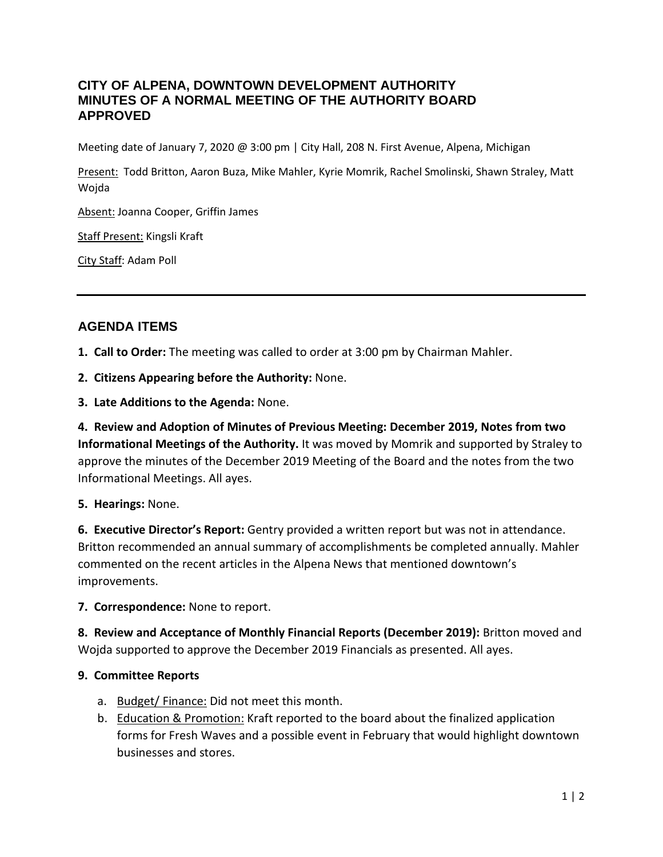## **CITY OF ALPENA, DOWNTOWN DEVELOPMENT AUTHORITY MINUTES OF A NORMAL MEETING OF THE AUTHORITY BOARD APPROVED**

Meeting date of January 7, 2020 @ 3:00 pm | City Hall, 208 N. First Avenue, Alpena, Michigan

Present: Todd Britton, Aaron Buza, Mike Mahler, Kyrie Momrik, Rachel Smolinski, Shawn Straley, Matt Wojda

Absent: Joanna Cooper, Griffin James

Staff Present: Kingsli Kraft

City Staff: Adam Poll

# **AGENDA ITEMS**

**1. Call to Order:** The meeting was called to order at 3:00 pm by Chairman Mahler.

**2. Citizens Appearing before the Authority:** None.

**3. Late Additions to the Agenda:** None.

**4. Review and Adoption of Minutes of Previous Meeting: December 2019, Notes from two Informational Meetings of the Authority.** It was moved by Momrik and supported by Straley to approve the minutes of the December 2019 Meeting of the Board and the notes from the two Informational Meetings. All ayes.

**5. Hearings:** None.

**6. Executive Director's Report:** Gentry provided a written report but was not in attendance. Britton recommended an annual summary of accomplishments be completed annually. Mahler commented on the recent articles in the Alpena News that mentioned downtown's improvements.

**7. Correspondence:** None to report.

**8. Review and Acceptance of Monthly Financial Reports (December 2019):** Britton moved and Wojda supported to approve the December 2019 Financials as presented. All ayes.

## **9. Committee Reports**

- a. Budget/Finance: Did not meet this month.
- b. Education & Promotion: Kraft reported to the board about the finalized application forms for Fresh Waves and a possible event in February that would highlight downtown businesses and stores.